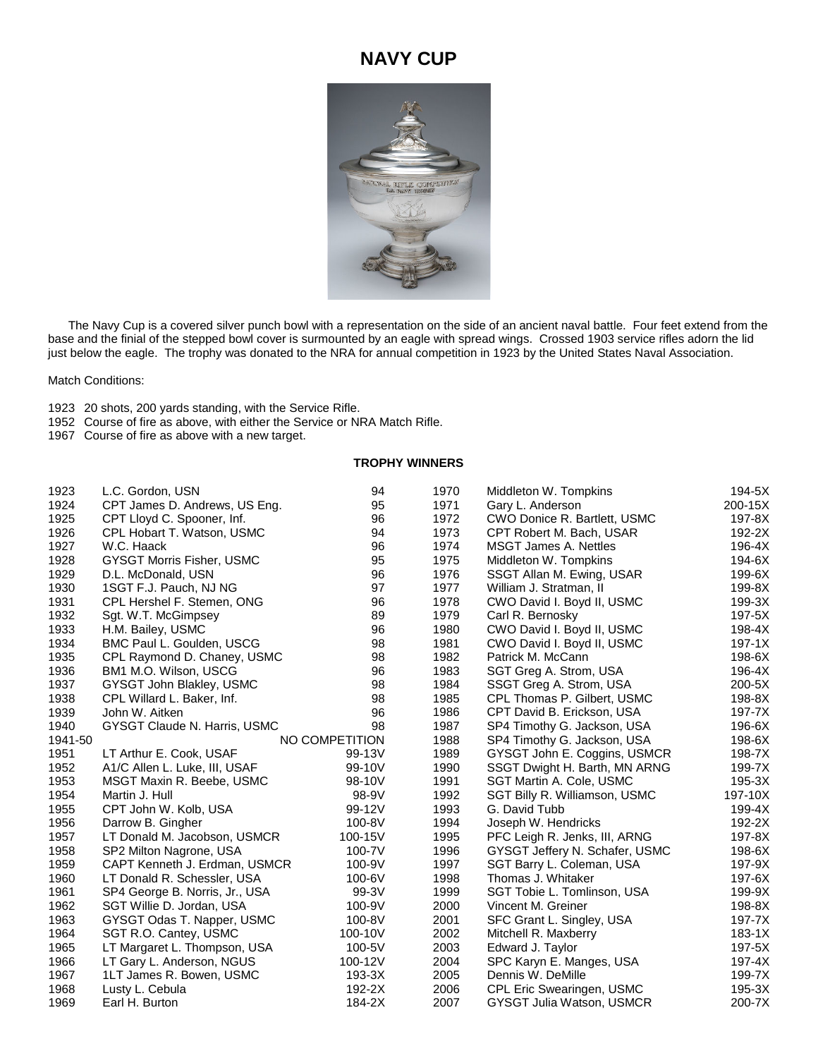## **NAVY CUP**



 The Navy Cup is a covered silver punch bowl with a representation on the side of an ancient naval battle. Four feet extend from the base and the finial of the stepped bowl cover is surmounted by an eagle with spread wings. Crossed 1903 service rifles adorn the lid just below the eagle. The trophy was donated to the NRA for annual competition in 1923 by the United States Naval Association.

Match Conditions:

- 20 shots, 200 yards standing, with the Service Rifle.
- Course of fire as above, with either the Service or NRA Match Rifle.
- Course of fire as above with a new target.

## **TROPHY WINNERS**

| 1923    | L.C. Gordon, USN                 | 94             | 1970 | Middleton W. Tompkins            | 194-5X     |
|---------|----------------------------------|----------------|------|----------------------------------|------------|
| 1924    | CPT James D. Andrews, US Eng.    | 95             | 1971 | Gary L. Anderson                 | 200-15X    |
| 1925    | CPT Lloyd C. Spooner, Inf.       | 96             | 1972 | CWO Donice R. Bartlett, USMC     | 197-8X     |
| 1926    | CPL Hobart T. Watson, USMC       | 94             | 1973 | CPT Robert M. Bach, USAR         | 192-2X     |
| 1927    | W.C. Haack                       | 96             | 1974 | <b>MSGT James A. Nettles</b>     | 196-4X     |
| 1928    | <b>GYSGT Morris Fisher, USMC</b> | 95             | 1975 | Middleton W. Tompkins            | 194-6X     |
| 1929    | D.L. McDonald, USN               | 96             | 1976 | SSGT Allan M. Ewing, USAR        | 199-6X     |
| 1930    | 1SGT F.J. Pauch, NJ NG           | 97             | 1977 | William J. Stratman, II          | 199-8X     |
| 1931    | CPL Hershel F. Stemen, ONG       | 96             | 1978 | CWO David I. Boyd II, USMC       | $199-3X$   |
| 1932    | Sgt. W.T. McGimpsey              | 89             | 1979 | Carl R. Bernosky                 | 197-5X     |
| 1933    | H.M. Bailey, USMC                | 96             | 1980 | CWO David I. Boyd II, USMC       | 198-4X     |
| 1934    | BMC Paul L. Goulden, USCG        | 98             | 1981 | CWO David I. Boyd II, USMC       | $197 - 1X$ |
| 1935    | CPL Raymond D. Chaney, USMC      | 98             | 1982 | Patrick M. McCann                | 198-6X     |
| 1936    | BM1 M.O. Wilson, USCG            | 96             | 1983 | SGT Greg A. Strom, USA           | 196-4X     |
| 1937    | GYSGT John Blakley, USMC         | 98             | 1984 | SSGT Greg A. Strom, USA          | 200-5X     |
| 1938    | CPL Willard L. Baker, Inf.       | 98             | 1985 | CPL Thomas P. Gilbert, USMC      | 198-8X     |
| 1939    | John W. Aitken                   | 96             | 1986 | CPT David B. Erickson, USA       | 197-7X     |
| 1940    | GYSGT Claude N. Harris, USMC     | 98             | 1987 | SP4 Timothy G. Jackson, USA      | 196-6X     |
| 1941-50 |                                  | NO COMPETITION | 1988 | SP4 Timothy G. Jackson, USA      | 198-6X     |
| 1951    | LT Arthur E. Cook, USAF          | 99-13V         | 1989 | GYSGT John E. Coggins, USMCR     | 198-7X     |
| 1952    | A1/C Allen L. Luke, III, USAF    | 99-10V         | 1990 | SSGT Dwight H. Barth, MN ARNG    | 199-7X     |
| 1953    | MSGT Maxin R. Beebe, USMC        | 98-10V         | 1991 | SGT Martin A. Cole, USMC         | 195-3X     |
| 1954    | Martin J. Hull                   | 98-9V          | 1992 | SGT Billy R. Williamson, USMC    | 197-10X    |
| 1955    | CPT John W. Kolb, USA            | 99-12V         | 1993 | G. David Tubb                    | 199-4X     |
| 1956    | Darrow B. Gingher                | 100-8V         | 1994 | Joseph W. Hendricks              | 192-2X     |
| 1957    | LT Donald M. Jacobson, USMCR     | 100-15V        | 1995 | PFC Leigh R. Jenks, III, ARNG    | 197-8X     |
| 1958    | SP2 Milton Nagrone, USA          | 100-7V         | 1996 | GYSGT Jeffery N. Schafer, USMC   | 198-6X     |
| 1959    | CAPT Kenneth J. Erdman, USMCR    | 100-9V         | 1997 | SGT Barry L. Coleman, USA        | 197-9X     |
| 1960    | LT Donald R. Schessler, USA      | 100-6V         | 1998 | Thomas J. Whitaker               | 197-6X     |
| 1961    | SP4 George B. Norris, Jr., USA   | 99-3V          | 1999 | SGT Tobie L. Tomlinson, USA      | 199-9X     |
| 1962    | SGT Willie D. Jordan, USA        | 100-9V         | 2000 | Vincent M. Greiner               | 198-8X     |
| 1963    | GYSGT Odas T. Napper, USMC       | 100-8V         | 2001 | SFC Grant L. Singley, USA        | 197-7X     |
| 1964    | SGT R.O. Cantey, USMC            | 100-10V        | 2002 | Mitchell R. Maxberry             | $183-1X$   |
| 1965    | LT Margaret L. Thompson, USA     | 100-5V         | 2003 | Edward J. Taylor                 | 197-5X     |
| 1966    | LT Gary L. Anderson, NGUS        | 100-12V        | 2004 | SPC Karyn E. Manges, USA         | $197-4X$   |
| 1967    | 1LT James R. Bowen, USMC         | $193-3X$       | 2005 | Dennis W. DeMille                | 199-7X     |
| 1968    | Lusty L. Cebula                  | 192-2X         | 2006 | CPL Eric Swearingen, USMC        | 195-3X     |
| 1969    | Earl H. Burton                   | 184-2X         | 2007 | <b>GYSGT Julia Watson, USMCR</b> | 200-7X     |